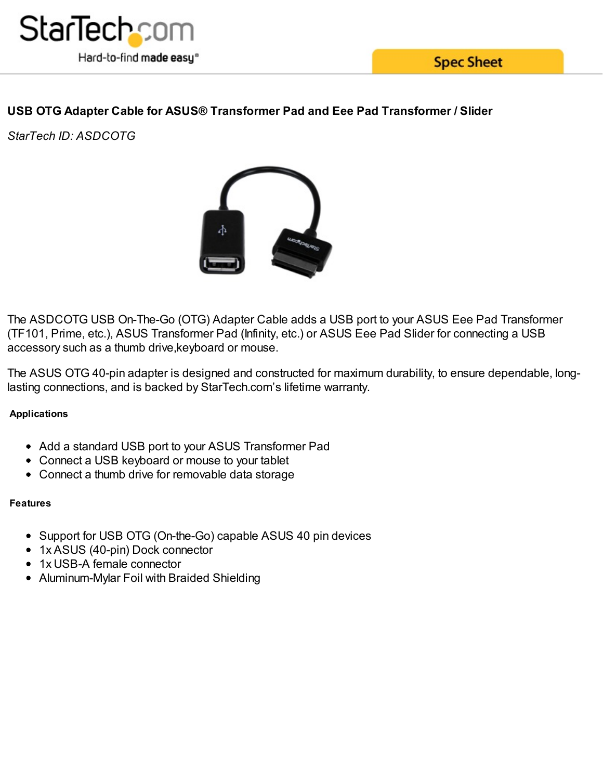

# **USB OTG Adapter Cable for ASUS® Transformer Pad and Eee Pad Transformer / Slider**

*StarTech ID: ASDCOTG*



The ASDCOTG USB On-The-Go (OTG) Adapter Cable adds a USB port to your ASUS Eee Pad Transformer (TF101, Prime, etc.), ASUS Transformer Pad (Infinity, etc.) or ASUS Eee Pad Slider for connecting a USB accessory such as a thumb drive,keyboard or mouse.

The ASUS OTG 40-pin adapter is designed and constructed for maximum durability, to ensure dependable, longlasting connections, and is backed by StarTech.com's lifetime warranty.

## **Applications**

- Add a standard USB port to your ASUS Transformer Pad
- Connect a USB keyboard or mouse to your tablet
- Connect a thumb drive for removable data storage

### **Features**

- Support for USB OTG (On-the-Go) capable ASUS 40 pin devices
- 1x ASUS (40-pin) Dock connector
- 1x USB-A female connector
- Aluminum-Mylar Foil with Braided Shielding